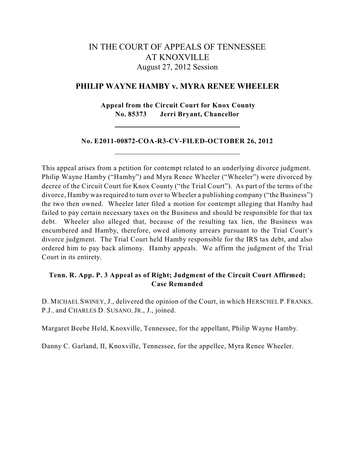# IN THE COURT OF APPEALS OF TENNESSEE AT KNOXVILLE August 27, 2012 Session

# **PHILIP WAYNE HAMBY v. MYRA RENEE WHEELER**

**Appeal from the Circuit Court for Knox County No. 85373 Jerri Bryant, Chancellor**

### **No. E2011-00872-COA-R3-CV-FILED-OCTOBER 26, 2012**

This appeal arises from a petition for contempt related to an underlying divorce judgment. Philip Wayne Hamby ("Hamby") and Myra Renee Wheeler ("Wheeler") were divorced by decree of the Circuit Court for Knox County ("the Trial Court"). As part of the terms of the divorce, Hamby was required to turn over to Wheeler a publishing company ("the Business") the two then owned. Wheeler later filed a motion for contempt alleging that Hamby had failed to pay certain necessary taxes on the Business and should be responsible for that tax debt. Wheeler also alleged that, because of the resulting tax lien, the Business was encumbered and Hamby, therefore, owed alimony arrears pursuant to the Trial Court's divorce judgment. The Trial Court held Hamby responsible for the IRS tax debt, and also ordered him to pay back alimony. Hamby appeals. We affirm the judgment of the Trial Court in its entirety.

# **Tenn. R. App. P. 3 Appeal as of Right; Judgment of the Circuit Court Affirmed; Case Remanded**

D. MICHAEL SWINEY, J., delivered the opinion of the Court, in which HERSCHEL P. FRANKS, P.J., and CHARLES D. SUSANO, JR., J., joined.

Margaret Beebe Held, Knoxville, Tennessee, for the appellant, Philip Wayne Hamby.

Danny C. Garland, II, Knoxville, Tennessee, for the appellee, Myra Renee Wheeler.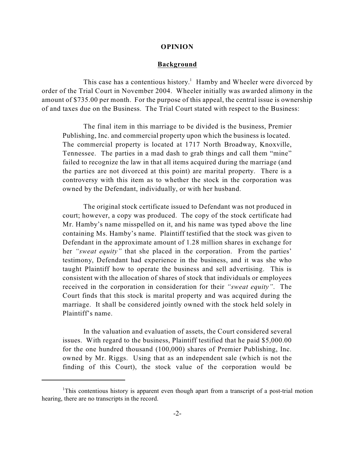#### **OPINION**

### **Background**

This case has a contentious history.<sup>1</sup> Hamby and Wheeler were divorced by order of the Trial Court in November 2004. Wheeler initially was awarded alimony in the amount of \$735.00 per month. For the purpose of this appeal, the central issue is ownership of and taxes due on the Business. The Trial Court stated with respect to the Business:

The final item in this marriage to be divided is the business, Premier Publishing, Inc. and commercial property upon which the business is located. The commercial property is located at 1717 North Broadway, Knoxville, Tennessee. The parties in a mad dash to grab things and call them "mine" failed to recognize the law in that all items acquired during the marriage (and the parties are not divorced at this point) are marital property. There is a controversy with this item as to whether the stock in the corporation was owned by the Defendant, individually, or with her husband.

The original stock certificate issued to Defendant was not produced in court; however, a copy was produced. The copy of the stock certificate had Mr. Hamby's name misspelled on it, and his name was typed above the line containing Ms. Hamby's name. Plaintiff testified that the stock was given to Defendant in the approximate amount of 1.28 million shares in exchange for her *"sweat equity"* that she placed in the corporation. From the parties' testimony, Defendant had experience in the business, and it was she who taught Plaintiff how to operate the business and sell advertising. This is consistent with the allocation of shares of stock that individuals or employees received in the corporation in consideration for their *"sweat equity"*. The Court finds that this stock is marital property and was acquired during the marriage. It shall be considered jointly owned with the stock held solely in Plaintiff's name.

In the valuation and evaluation of assets, the Court considered several issues. With regard to the business, Plaintiff testified that he paid \$5,000.00 for the one hundred thousand (100,000) shares of Premier Publishing, Inc. owned by Mr. Riggs. Using that as an independent sale (which is not the finding of this Court), the stock value of the corporation would be

<sup>&</sup>lt;sup>1</sup>This contentious history is apparent even though apart from a transcript of a post-trial motion hearing, there are no transcripts in the record.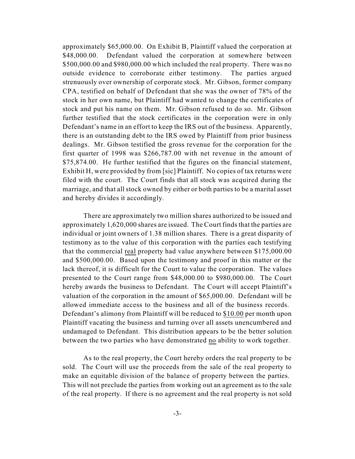approximately \$65,000.00. On Exhibit B, Plaintiff valued the corporation at \$48,000.00. Defendant valued the corporation at somewhere between \$500,000.00 and \$980,000.00 which included the real property. There was no outside evidence to corroborate either testimony. The parties argued strenuously over ownership of corporate stock. Mr. Gibson, former company CPA, testified on behalf of Defendant that she was the owner of 78% of the stock in her own name, but Plaintiff had wanted to change the certificates of stock and put his name on them. Mr. Gibson refused to do so. Mr. Gibson further testified that the stock certificates in the corporation were in only Defendant's name in an effort to keep the IRS out of the business. Apparently, there is an outstanding debt to the IRS owed by Plaintiff from prior business dealings. Mr. Gibson testified the gross revenue for the corporation for the first quarter of 1998 was \$266,787.00 with net revenue in the amount of \$75,874.00. He further testified that the figures on the financial statement, Exhibit H, were provided by from [sic] Plaintiff. No copies of tax returns were filed with the court. The Court finds that all stock was acquired during the marriage, and that all stock owned by either or both parties to be a marital asset and hereby divides it accordingly.

There are approximately two million shares authorized to be issued and approximately 1,620,000 shares are issued. The Court finds that the parties are individual or joint owners of 1.38 million shares. There is a great disparity of testimony as to the value of this corporation with the parties each testifying that the commercial real property had value anywhere between \$175,000.00 and \$500,000.00. Based upon the testimony and proof in this matter or the lack thereof, it is difficult for the Court to value the corporation. The values presented to the Court range from \$48,000.00 to \$980,000.00. The Court hereby awards the business to Defendant. The Court will accept Plaintiff's valuation of the corporation in the amount of \$65,000.00. Defendant will be allowed immediate access to the business and all of the business records. Defendant's alimony from Plaintiff will be reduced to \$10.00 per month upon Plaintiff vacating the business and turning over all assets unencumbered and undamaged to Defendant. This distribution appears to be the better solution between the two parties who have demonstrated no ability to work together.

As to the real property, the Court hereby orders the real property to be sold. The Court will use the proceeds from the sale of the real property to make an equitable division of the balance of property between the parties. This will not preclude the parties from working out an agreement as to the sale of the real property. If there is no agreement and the real property is not sold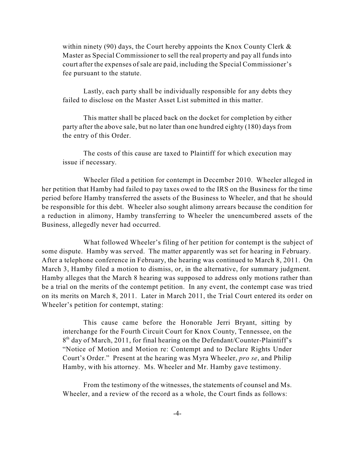within ninety (90) days, the Court hereby appoints the Knox County Clerk  $\&$ Master as Special Commissioner to sell the real property and pay all funds into court after the expenses of sale are paid, including the Special Commissioner's fee pursuant to the statute.

Lastly, each party shall be individually responsible for any debts they failed to disclose on the Master Asset List submitted in this matter.

This matter shall be placed back on the docket for completion by either party after the above sale, but no later than one hundred eighty (180) days from the entry of this Order.

The costs of this cause are taxed to Plaintiff for which execution may issue if necessary.

Wheeler filed a petition for contempt in December 2010. Wheeler alleged in her petition that Hamby had failed to pay taxes owed to the IRS on the Business for the time period before Hamby transferred the assets of the Business to Wheeler, and that he should be responsible for this debt. Wheeler also sought alimony arrears because the condition for a reduction in alimony, Hamby transferring to Wheeler the unencumbered assets of the Business, allegedly never had occurred.

What followed Wheeler's filing of her petition for contempt is the subject of some dispute. Hamby was served. The matter apparently was set for hearing in February. After a telephone conference in February, the hearing was continued to March 8, 2011. On March 3, Hamby filed a motion to dismiss, or, in the alternative, for summary judgment. Hamby alleges that the March 8 hearing was supposed to address only motions rather than be a trial on the merits of the contempt petition. In any event, the contempt case was tried on its merits on March 8, 2011. Later in March 2011, the Trial Court entered its order on Wheeler's petition for contempt, stating:

This cause came before the Honorable Jerri Bryant, sitting by interchange for the Fourth Circuit Court for Knox County, Tennessee, on the 8<sup>th</sup> day of March, 2011, for final hearing on the Defendant/Counter-Plaintiff's "Notice of Motion and Motion re: Contempt and to Declare Rights Under Court's Order." Present at the hearing was Myra Wheeler, *pro se*, and Philip Hamby, with his attorney. Ms. Wheeler and Mr. Hamby gave testimony.

From the testimony of the witnesses, the statements of counsel and Ms. Wheeler, and a review of the record as a whole, the Court finds as follows: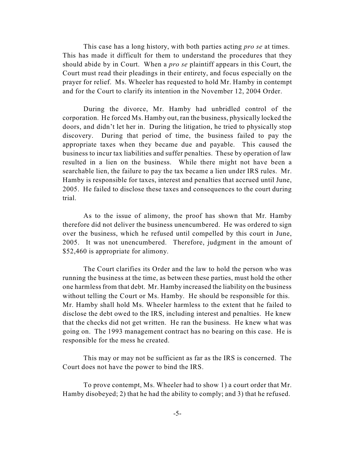This case has a long history, with both parties acting *pro se* at times. This has made it difficult for them to understand the procedures that they should abide by in Court. When a *pro se* plaintiff appears in this Court, the Court must read their pleadings in their entirety, and focus especially on the prayer for relief. Ms. Wheeler has requested to hold Mr. Hamby in contempt and for the Court to clarify its intention in the November 12, 2004 Order.

During the divorce, Mr. Hamby had unbridled control of the corporation. He forced Ms. Hamby out, ran the business, physically locked the doors, and didn't let her in. During the litigation, he tried to physically stop discovery. During that period of time, the business failed to pay the appropriate taxes when they became due and payable. This caused the business to incur tax liabilities and suffer penalties. These by operation of law resulted in a lien on the business. While there might not have been a searchable lien, the failure to pay the tax became a lien under IRS rules. Mr. Hamby is responsible for taxes, interest and penalties that accrued until June, 2005. He failed to disclose these taxes and consequences to the court during trial.

As to the issue of alimony, the proof has shown that Mr. Hamby therefore did not deliver the business unencumbered. He was ordered to sign over the business, which he refused until compelled by this court in June, 2005. It was not unencumbered. Therefore, judgment in the amount of \$52,460 is appropriate for alimony.

The Court clarifies its Order and the law to hold the person who was running the business at the time, as between these parties, must hold the other one harmless from that debt. Mr. Hamby increased the liability on the business without telling the Court or Ms. Hamby. He should be responsible for this. Mr. Hamby shall hold Ms. Wheeler harmless to the extent that he failed to disclose the debt owed to the IRS, including interest and penalties. He knew that the checks did not get written. He ran the business. He knew what was going on. The 1993 management contract has no bearing on this case. He is responsible for the mess he created.

This may or may not be sufficient as far as the IRS is concerned. The Court does not have the power to bind the IRS.

To prove contempt, Ms. Wheeler had to show 1) a court order that Mr. Hamby disobeyed; 2) that he had the ability to comply; and 3) that he refused.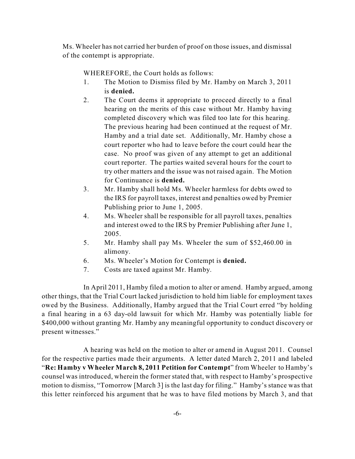Ms. Wheeler has not carried her burden of proof on those issues, and dismissal of the contempt is appropriate.

WHEREFORE, the Court holds as follows:

- 1. The Motion to Dismiss filed by Mr. Hamby on March 3, 2011 is **denied.**
- 2. The Court deems it appropriate to proceed directly to a final hearing on the merits of this case without Mr. Hamby having completed discovery which was filed too late for this hearing. The previous hearing had been continued at the request of Mr. Hamby and a trial date set. Additionally, Mr. Hamby chose a court reporter who had to leave before the court could hear the case. No proof was given of any attempt to get an additional court reporter. The parties waited several hours for the court to try other matters and the issue was not raised again. The Motion for Continuance is **denied.**
- 3. Mr. Hamby shall hold Ms. Wheeler harmless for debts owed to the IRS for payroll taxes, interest and penalties owed by Premier Publishing prior to June 1, 2005.
- 4. Ms. Wheeler shall be responsible for all payroll taxes, penalties and interest owed to the IRS by Premier Publishing after June 1, 2005.
- 5. Mr. Hamby shall pay Ms. Wheeler the sum of \$52,460.00 in alimony.
- 6. Ms. Wheeler's Motion for Contempt is **denied.**
- 7. Costs are taxed against Mr. Hamby.

In April 2011, Hamby filed a motion to alter or amend. Hamby argued, among other things, that the Trial Court lacked jurisdiction to hold him liable for employment taxes owed by the Business. Additionally, Hamby argued that the Trial Court erred "by holding a final hearing in a 63 day-old lawsuit for which Mr. Hamby was potentially liable for \$400,000 without granting Mr. Hamby any meaningful opportunity to conduct discovery or present witnesses."

A hearing was held on the motion to alter or amend in August 2011. Counsel for the respective parties made their arguments. A letter dated March 2, 2011 and labeled "**Re: Hamby v Wheeler March 8, 2011 Petition for Contempt**" from Wheeler to Hamby's counsel was introduced, wherein the former stated that, with respect to Hamby's prospective motion to dismiss, "Tomorrow [March 3] is the last day for filing." Hamby's stance was that this letter reinforced his argument that he was to have filed motions by March 3, and that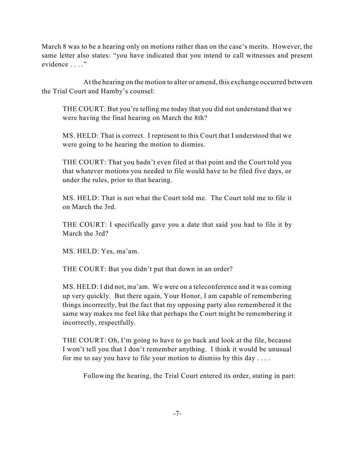March 8 was to be a hearing only on motions rather than on the case's merits. However, the same letter also states: "you have indicated that you intend to call witnesses and present evidence . . . ."

At the hearing on the motion to alter or amend, this exchange occurred between the Trial Court and Hamby's counsel:

THE COURT: But you're telling me today that you did not understand that we were having the final hearing on March the 8th?

MS. HELD: That is correct. I represent to this Court that I understood that we were going to be hearing the motion to dismiss.

THE COURT: That you hadn't even filed at that point and the Court told you that whatever motions you needed to file would have to be filed five days, or under the rules, prior to that hearing.

MS. HELD: That is not what the Court told me. The Court told me to file it on March the 3rd.

THE COURT: I specifically gave you a date that said you had to file it by March the 3rd?

MS. HELD: Yes, ma'am.

THE COURT: But you didn't put that down in an order?

MS. HELD: I did not, ma'am. We were on a teleconference and it was coming up very quickly. But there again, Your Honor, I am capable of remembering things incorrectly, but the fact that my opposing party also remembered it the same way makes me feel like that perhaps the Court might be remembering it incorrectly, respectfully.

THE COURT: Oh, I'm going to have to go back and look at the file, because I won't tell you that I don't remember anything. I think it would be unusual for me to say you have to file your motion to dismiss by this day . . . .

Following the hearing, the Trial Court entered its order, stating in part: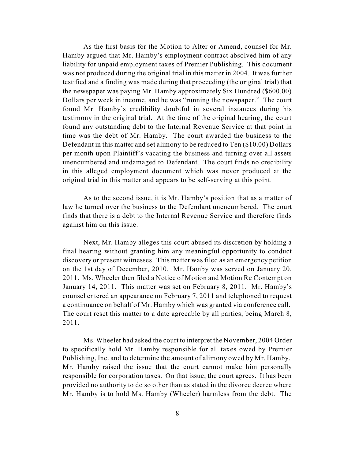As the first basis for the Motion to Alter or Amend, counsel for Mr. Hamby argued that Mr. Hamby's employment contract absolved him of any liability for unpaid employment taxes of Premier Publishing. This document was not produced during the original trial in this matter in 2004. It was further testified and a finding was made during that proceeding (the original trial) that the newspaper was paying Mr. Hamby approximately Six Hundred (\$600.00) Dollars per week in income, and he was "running the newspaper." The court found Mr. Hamby's credibility doubtful in several instances during his testimony in the original trial. At the time of the original hearing, the court found any outstanding debt to the Internal Revenue Service at that point in time was the debt of Mr. Hamby. The court awarded the business to the Defendant in this matter and set alimony to be reduced to Ten (\$10.00) Dollars per month upon Plaintiff's vacating the business and turning over all assets unencumbered and undamaged to Defendant. The court finds no credibility in this alleged employment document which was never produced at the original trial in this matter and appears to be self-serving at this point.

As to the second issue, it is Mr. Hamby's position that as a matter of law he turned over the business to the Defendant unencumbered. The court finds that there is a debt to the Internal Revenue Service and therefore finds against him on this issue.

Next, Mr. Hamby alleges this court abused its discretion by holding a final hearing without granting him any meaningful opportunity to conduct discovery or present witnesses. This matter was filed as an emergency petition on the 1st day of December, 2010. Mr. Hamby was served on January 20, 2011. Ms. Wheeler then filed a Notice of Motion and Motion Re Contempt on January 14, 2011. This matter was set on February 8, 2011. Mr. Hamby's counsel entered an appearance on February 7, 2011 and telephoned to request a continuance on behalf of Mr. Hamby which was granted via conference call. The court reset this matter to a date agreeable by all parties, being March 8, 2011.

Ms. Wheeler had asked the court to interpret the November, 2004 Order to specifically hold Mr. Hamby responsible for all taxes owed by Premier Publishing, Inc. and to determine the amount of alimony owed by Mr. Hamby. Mr. Hamby raised the issue that the court cannot make him personally responsible for corporation taxes. On that issue, the court agrees. It has been provided no authority to do so other than as stated in the divorce decree where Mr. Hamby is to hold Ms. Hamby (Wheeler) harmless from the debt. The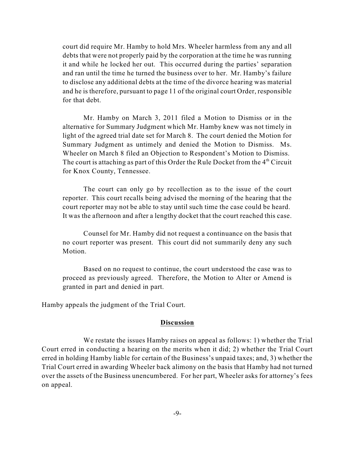court did require Mr. Hamby to hold Mrs. Wheeler harmless from any and all debts that were not properly paid by the corporation at the time he was running it and while he locked her out. This occurred during the parties' separation and ran until the time he turned the business over to her. Mr. Hamby's failure to disclose any additional debts at the time of the divorce hearing was material and he is therefore, pursuant to page 11 of the original court Order, responsible for that debt.

Mr. Hamby on March 3, 2011 filed a Motion to Dismiss or in the alternative for Summary Judgment which Mr. Hamby knew was not timely in light of the agreed trial date set for March 8. The court denied the Motion for Summary Judgment as untimely and denied the Motion to Dismiss. Ms. Wheeler on March 8 filed an Objection to Respondent's Motion to Dismiss. The court is attaching as part of this Order the Rule Docket from the  $4^{\text{th}}$  Circuit for Knox County, Tennessee.

The court can only go by recollection as to the issue of the court reporter. This court recalls being advised the morning of the hearing that the court reporter may not be able to stay until such time the case could be heard. It was the afternoon and after a lengthy docket that the court reached this case.

Counsel for Mr. Hamby did not request a continuance on the basis that no court reporter was present. This court did not summarily deny any such Motion.

Based on no request to continue, the court understood the case was to proceed as previously agreed. Therefore, the Motion to Alter or Amend is granted in part and denied in part.

Hamby appeals the judgment of the Trial Court.

### **Discussion**

We restate the issues Hamby raises on appeal as follows: 1) whether the Trial Court erred in conducting a hearing on the merits when it did; 2) whether the Trial Court erred in holding Hamby liable for certain of the Business's unpaid taxes; and, 3) whether the Trial Court erred in awarding Wheeler back alimony on the basis that Hamby had not turned over the assets of the Business unencumbered. For her part, Wheeler asks for attorney's fees on appeal.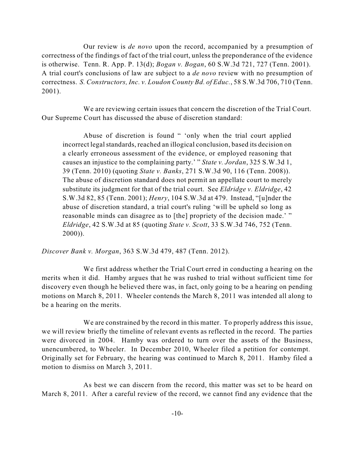Our review is *de novo* upon the record, accompanied by a presumption of correctness of the findings of fact of the trial court, unless the preponderance of the evidence is otherwise. Tenn. R. App. P. 13(d); *Bogan v. Bogan*, 60 S.W.3d 721, 727 (Tenn. 2001). A trial court's conclusions of law are subject to a *de novo* review with no presumption of correctness. *S. Constructors, Inc. v. Loudon County Bd. of Educ.*, 58 S.W.3d 706, 710 (Tenn. 2001).

We are reviewing certain issues that concern the discretion of the Trial Court. Our Supreme Court has discussed the abuse of discretion standard:

Abuse of discretion is found " 'only when the trial court applied incorrect legal standards, reached an illogical conclusion, based its decision on a clearly erroneous assessment of the evidence, or employed reasoning that causes an injustice to the complaining party.' " *State v. Jordan*, 325 S.W.3d 1, 39 (Tenn. 2010) (quoting *State v. Banks*, 271 S.W.3d 90, 116 (Tenn. 2008)). The abuse of discretion standard does not permit an appellate court to merely substitute its judgment for that of the trial court. See *Eldridge v. Eldridge*, 42 S.W.3d 82, 85 (Tenn. 2001); *Henry*, 104 S.W.3d at 479. Instead, "[u]nder the abuse of discretion standard, a trial court's ruling 'will be upheld so long as reasonable minds can disagree as to [the] propriety of the decision made.' " *Eldridge*, 42 S.W.3d at 85 (quoting *State v. Scott*, 33 S.W.3d 746, 752 (Tenn. 2000)).

*Discover Bank v. Morgan*, 363 S.W.3d 479, 487 (Tenn. 2012).

We first address whether the Trial Court erred in conducting a hearing on the merits when it did. Hamby argues that he was rushed to trial without sufficient time for discovery even though he believed there was, in fact, only going to be a hearing on pending motions on March 8, 2011. Wheeler contends the March 8, 2011 was intended all along to be a hearing on the merits.

We are constrained by the record in this matter. To properly address this issue, we will review briefly the timeline of relevant events as reflected in the record. The parties were divorced in 2004. Hamby was ordered to turn over the assets of the Business, unencumbered, to Wheeler. In December 2010, Wheeler filed a petition for contempt. Originally set for February, the hearing was continued to March 8, 2011. Hamby filed a motion to dismiss on March 3, 2011.

As best we can discern from the record, this matter was set to be heard on March 8, 2011. After a careful review of the record, we cannot find any evidence that the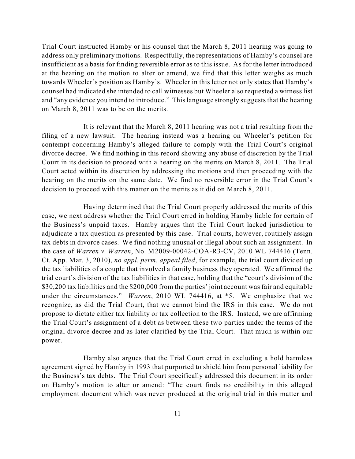Trial Court instructed Hamby or his counsel that the March 8, 2011 hearing was going to address only preliminary motions. Respectfully, the representations of Hamby's counsel are insufficient as a basis for finding reversible error as to this issue. As for the letter introduced at the hearing on the motion to alter or amend, we find that this letter weighs as much towards Wheeler's position as Hamby's. Wheeler in this letter not only states that Hamby's counsel had indicated she intended to call witnesses but Wheeler also requested a witness list and "any evidence you intend to introduce." This language strongly suggests that the hearing on March 8, 2011 was to be on the merits.

It is relevant that the March 8, 2011 hearing was not a trial resulting from the filing of a new lawsuit. The hearing instead was a hearing on Wheeler's petition for contempt concerning Hamby's alleged failure to comply with the Trial Court's original divorce decree. We find nothing in this record showing any abuse of discretion by the Trial Court in its decision to proceed with a hearing on the merits on March 8, 2011. The Trial Court acted within its discretion by addressing the motions and then proceeding with the hearing on the merits on the same date. We find no reversible error in the Trial Court's decision to proceed with this matter on the merits as it did on March 8, 2011.

Having determined that the Trial Court properly addressed the merits of this case, we next address whether the Trial Court erred in holding Hamby liable for certain of the Business's unpaid taxes. Hamby argues that the Trial Court lacked jurisdiction to adjudicate a tax question as presented by this case. Trial courts, however, routinely assign tax debts in divorce cases. We find nothing unusual or illegal about such an assignment. In the case of *Warren v. Warren*, No. M2009-00042-COA-R3-CV, 2010 WL 744416 (Tenn. Ct. App. Mar. 3, 2010), *no appl. perm. appeal filed*, for example, the trial court divided up the tax liabilities of a couple that involved a family business they operated. We affirmed the trial court's division of the tax liabilities in that case, holding that the "court's division of the \$30,200 tax liabilities and the \$200,000 from the parties' joint account was fair and equitable under the circumstances." *Warren*, 2010 WL 744416, at \*5. We emphasize that we recognize, as did the Trial Court, that we cannot bind the IRS in this case. We do not propose to dictate either tax liability or tax collection to the IRS. Instead, we are affirming the Trial Court's assignment of a debt as between these two parties under the terms of the original divorce decree and as later clarified by the Trial Court. That much is within our power.

Hamby also argues that the Trial Court erred in excluding a hold harmless agreement signed by Hamby in 1993 that purported to shield him from personal liability for the Business's tax debts. The Trial Court specifically addressed this document in its order on Hamby's motion to alter or amend: "The court finds no credibility in this alleged employment document which was never produced at the original trial in this matter and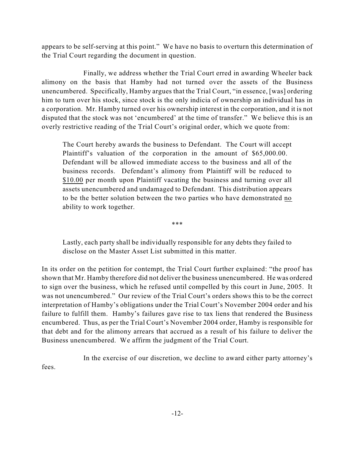appears to be self-serving at this point." We have no basis to overturn this determination of the Trial Court regarding the document in question.

Finally, we address whether the Trial Court erred in awarding Wheeler back alimony on the basis that Hamby had not turned over the assets of the Business unencumbered. Specifically, Hamby argues that the Trial Court, "in essence, [was] ordering him to turn over his stock, since stock is the only indicia of ownership an individual has in a corporation. Mr. Hamby turned over his ownership interest in the corporation, and it is not disputed that the stock was not 'encumbered' at the time of transfer." We believe this is an overly restrictive reading of the Trial Court's original order, which we quote from:

The Court hereby awards the business to Defendant. The Court will accept Plaintiff's valuation of the corporation in the amount of \$65,000.00. Defendant will be allowed immediate access to the business and all of the business records. Defendant's alimony from Plaintiff will be reduced to \$10.00 per month upon Plaintiff vacating the business and turning over all assets unencumbered and undamaged to Defendant. This distribution appears to be the better solution between the two parties who have demonstrated no ability to work together.

\*\*\*

Lastly, each party shall be individually responsible for any debts they failed to disclose on the Master Asset List submitted in this matter.

In its order on the petition for contempt, the Trial Court further explained: "the proof has shown that Mr. Hamby therefore did not deliver the business unencumbered. He was ordered to sign over the business, which he refused until compelled by this court in June, 2005. It was not unencumbered." Our review of the Trial Court's orders shows this to be the correct interpretation of Hamby's obligations under the Trial Court's November 2004 order and his failure to fulfill them. Hamby's failures gave rise to tax liens that rendered the Business encumbered. Thus, as per the Trial Court's November 2004 order, Hamby is responsible for that debt and for the alimony arrears that accrued as a result of his failure to deliver the Business unencumbered. We affirm the judgment of the Trial Court.

In the exercise of our discretion, we decline to award either party attorney's fees.